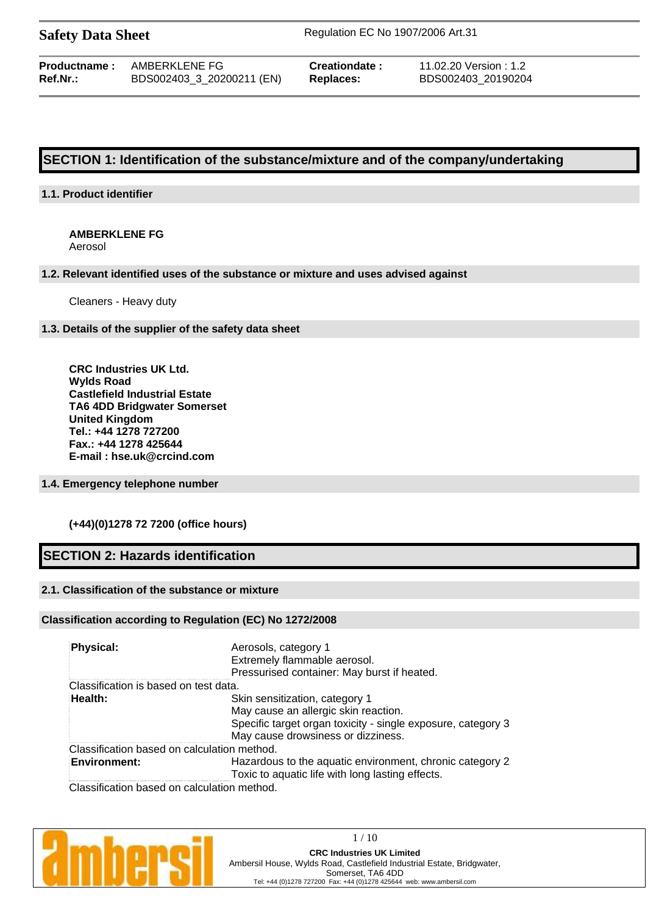**Safety Data Sheet** Regulation EC No 1907/2006 Art.31

| Productname : | AMBERKLENE FG             |
|---------------|---------------------------|
| Ref.Nr.:      | BDS002403_3_20200211 (EN) |

**Creationdate :** 11.02.20 Version : 1.2 **Ref.Nr.:** BDS002403\_3\_20200211 (EN) **Replaces:** BDS002403\_20190204

# **SECTION 1: Identification of the substance/mixture and of the company/undertaking**

# **1.1. Product identifier**

# **AMBERKLENE FG**

Aerosol

### **1.2. Relevant identified uses of the substance or mixture and uses advised against**

Cleaners - Heavy duty

### **1.3. Details of the supplier of the safety data sheet**

**CRC Industries UK Ltd. Wylds Road Castlefield Industrial Estate TA6 4DD Bridgwater Somerset United Kingdom Tel.: +44 1278 727200 Fax.: +44 1278 425644 E-mail : hse.uk@crcind.com**

# **1.4. Emergency telephone number**

# **(+44)(0)1278 72 7200 (office hours)**

# **SECTION 2: Hazards identification**

# **2.1. Classification of the substance or mixture**

# **Classification according to Regulation (EC) No 1272/2008**

| Physical:                                                          | Aerosols, category 1<br>Extremely flammable aerosol.<br>Pressurised container: May burst if heated.                                                                          |
|--------------------------------------------------------------------|------------------------------------------------------------------------------------------------------------------------------------------------------------------------------|
| Classification is based on test data.                              |                                                                                                                                                                              |
| Health:                                                            | Skin sensitization, category 1<br>May cause an allergic skin reaction.<br>Specific target organ toxicity - single exposure, category 3<br>May cause drowsiness or dizziness. |
| Classification based on calculation method.<br><b>Environment:</b> | Hazardous to the aquatic environment, chronic category 2<br>Toxic to aquatic life with long lasting effects.                                                                 |
| Classification based on calculation method.                        |                                                                                                                                                                              |

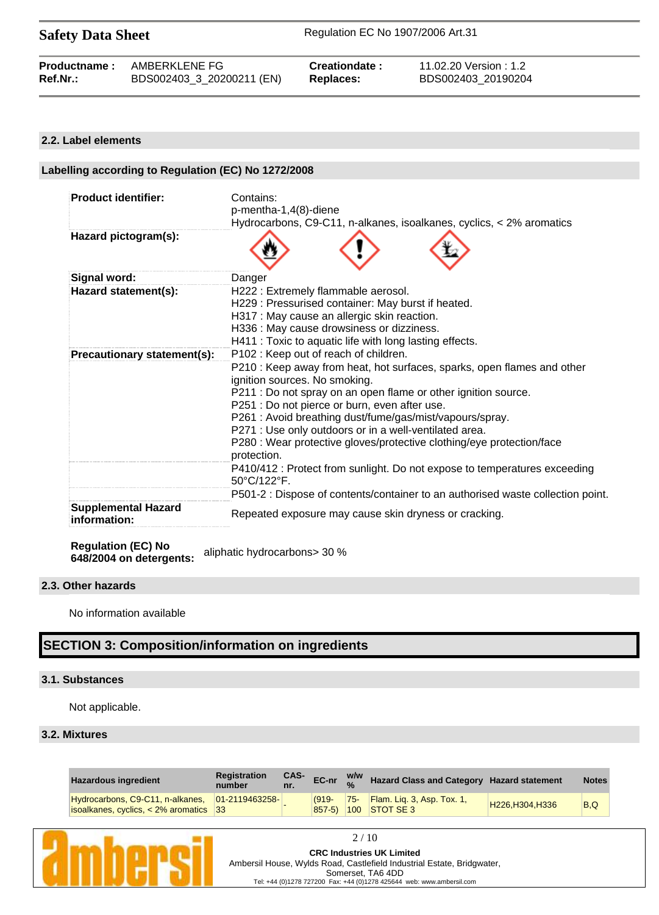**Safety Data Sheet** Regulation EC No 1907/2006 Art.31

# **2.2. Label elements**

| Labelling according to Regulation (EC) No 1272/2008 |                                                                                                          |  |  |  |
|-----------------------------------------------------|----------------------------------------------------------------------------------------------------------|--|--|--|
|                                                     |                                                                                                          |  |  |  |
| <b>Product identifier:</b>                          | Contains:                                                                                                |  |  |  |
|                                                     | p-mentha-1,4(8)-diene                                                                                    |  |  |  |
|                                                     | Hydrocarbons, C9-C11, n-alkanes, isoalkanes, cyclics, < 2% aromatics                                     |  |  |  |
| Hazard pictogram(s):                                |                                                                                                          |  |  |  |
| Signal word:                                        | Danger                                                                                                   |  |  |  |
| Hazard statement(s):                                | H222: Extremely flammable aerosol.                                                                       |  |  |  |
|                                                     | H229 : Pressurised container: May burst if heated.                                                       |  |  |  |
|                                                     | H317 : May cause an allergic skin reaction.                                                              |  |  |  |
|                                                     | H336 : May cause drowsiness or dizziness.                                                                |  |  |  |
|                                                     | H411 : Toxic to aquatic life with long lasting effects.                                                  |  |  |  |
| Precautionary statement(s):                         | P102: Keep out of reach of children.                                                                     |  |  |  |
|                                                     | P210 : Keep away from heat, hot surfaces, sparks, open flames and other<br>ignition sources. No smoking. |  |  |  |
|                                                     | P211 : Do not spray on an open flame or other ignition source.                                           |  |  |  |
|                                                     | P251 : Do not pierce or burn, even after use.                                                            |  |  |  |
|                                                     | P261 : Avoid breathing dust/fume/gas/mist/vapours/spray.                                                 |  |  |  |
|                                                     | P271 : Use only outdoors or in a well-ventilated area.                                                   |  |  |  |
|                                                     | P280 : Wear protective gloves/protective clothing/eye protection/face<br>protection.                     |  |  |  |
|                                                     | P410/412 : Protect from sunlight. Do not expose to temperatures exceeding<br>50°C/122°F.                 |  |  |  |
|                                                     | P501-2 : Dispose of contents/container to an authorised waste collection point.                          |  |  |  |
| <b>Supplemental Hazard</b><br>information:          | Repeated exposure may cause skin dryness or cracking.                                                    |  |  |  |

**Regulation (EC) No 648/2004 on detergents:** aliphatic hydrocarbons> 30 %

# **2.3. Other hazards**

No information available

# **SECTION 3: Composition/information on ingredients**

# **3.1. Substances**

Not applicable.

# **3.2. Mixtures**

| <b>Hazardous ingredient</b>                                                                | <b>Registration</b><br>number | CAS-<br>nr. | EC-nr               | W/W        | Hazard Class and Category Hazard statement                   |                | <b>Notes</b> |
|--------------------------------------------------------------------------------------------|-------------------------------|-------------|---------------------|------------|--------------------------------------------------------------|----------------|--------------|
| Hydrocarbons, C9-C11, n-alkanes, 01-2119463258-<br>$ isoalkanes, cycles, 2\% aromatics 33$ |                               |             | $(919 -$<br>$857-5$ | $\neg$ 75- | $\blacksquare$ Flam. Lig. 3, Asp. Tox. 1,<br>$100$ STOT SE 3 | H226.H304.H336 | B.Q          |

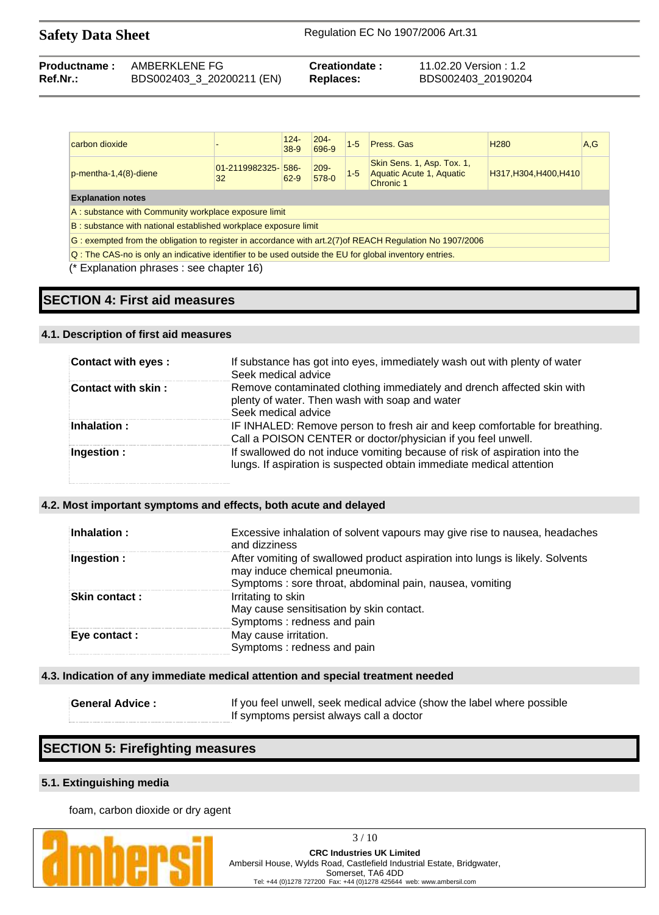| <b>Productname:</b> | AMBERKLENE FG             | Creationdate: | 11.02.20 Version : 1.2 |
|---------------------|---------------------------|---------------|------------------------|
| $Ref.Nr.$ :         | BDS002403_3_20200211 (EN) | Replaces:     | BDS002403 20190204     |

| carbon dioxide                                                                                            |                           | $124 -$<br>$38-9$ | $204 -$<br>696-9 | $1-5$   | Press, Gas                                                          | H <sub>280</sub>       | A.G |
|-----------------------------------------------------------------------------------------------------------|---------------------------|-------------------|------------------|---------|---------------------------------------------------------------------|------------------------|-----|
| $p$ -mentha-1,4 $(8)$ -diene                                                                              | 01-2119982325-1586-<br>32 | 62-9              | $209 -$<br>578-0 | $1 - 5$ | Skin Sens. 1, Asp. Tox. 1,<br>Aquatic Acute 1, Aquatic<br>Chronic 1 | H317, H304, H400, H410 |     |
| <b>Explanation notes</b>                                                                                  |                           |                   |                  |         |                                                                     |                        |     |
| A: substance with Community workplace exposure limit                                                      |                           |                   |                  |         |                                                                     |                        |     |
| B: substance with national established workplace exposure limit                                           |                           |                   |                  |         |                                                                     |                        |     |
| G: exempted from the obligation to register in accordance with art. 2(7) of REACH Regulation No 1907/2006 |                           |                   |                  |         |                                                                     |                        |     |
| Q: The CAS-no is only an indicative identifier to be used outside the EU for global inventory entries.    |                           |                   |                  |         |                                                                     |                        |     |
| Explanation phrases : see chapter 16)                                                                     |                           |                   |                  |         |                                                                     |                        |     |

# **SECTION 4: First aid measures**

# **4.1. Description of first aid measures**

| Contact with eyes : | If substance has got into eyes, immediately wash out with plenty of water<br>Seek medical advice                                                   |
|---------------------|----------------------------------------------------------------------------------------------------------------------------------------------------|
| Contact with skin:  | Remove contaminated clothing immediately and drench affected skin with<br>plenty of water. Then wash with soap and water<br>Seek medical advice    |
| Inhalation:         | IF INHALED: Remove person to fresh air and keep comfortable for breathing.<br>Call a POISON CENTER or doctor/physician if you feel unwell.         |
| Ingestion :         | If swallowed do not induce vomiting because of risk of aspiration into the<br>lungs. If aspiration is suspected obtain immediate medical attention |

## **4.2. Most important symptoms and effects, both acute and delayed**

| Inhalation :   | Excessive inhalation of solvent vapours may give rise to nausea, headaches<br>and dizziness                                                                                |
|----------------|----------------------------------------------------------------------------------------------------------------------------------------------------------------------------|
| Ingestion :    | After vomiting of swallowed product aspiration into lungs is likely. Solvents<br>may induce chemical pneumonia.<br>Symptoms: sore throat, abdominal pain, nausea, vomiting |
| Skin contact : | Irritating to skin<br>May cause sensitisation by skin contact.<br>Symptoms: redness and pain                                                                               |
| Eye contact :  | May cause irritation.<br>Symptoms: redness and pain                                                                                                                        |

# **4.3. Indication of any immediate medical attention and special treatment needed**

| <b>General Advice:</b> | If you feel unwell, seek medical advice (show the label where possible |
|------------------------|------------------------------------------------------------------------|
|                        | If symptoms persist always call a doctor                               |

# **SECTION 5: Firefighting measures**

# **5.1. Extinguishing media**

foam, carbon dioxide or dry agent



3 / 10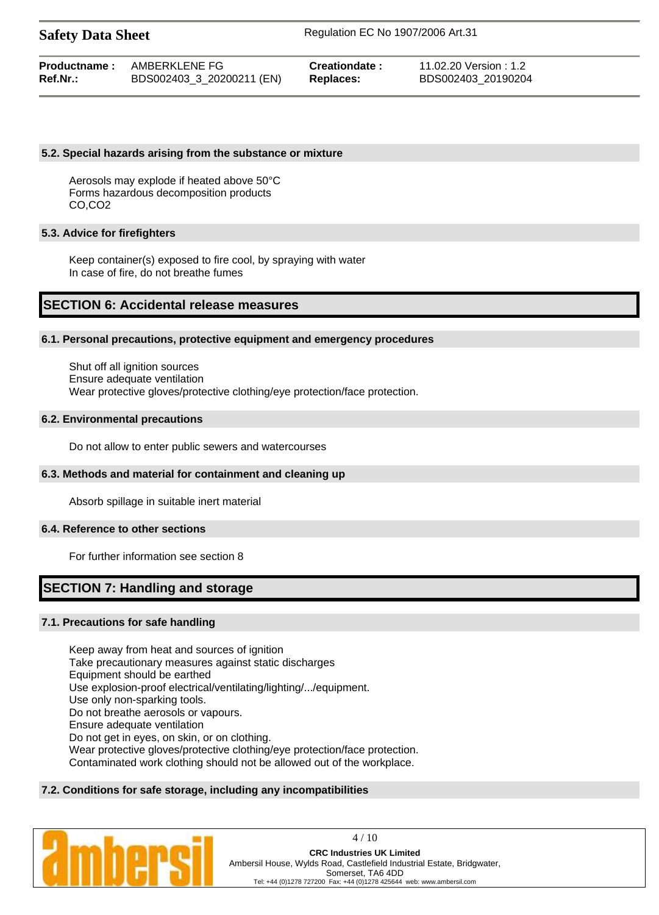|             | <b>Productname:</b> AMBERKLENE FG | Creationdate: | 11.02.20 Version : 1.2 |
|-------------|-----------------------------------|---------------|------------------------|
| $Ref.Nr.$ : | BDS002403_3_20200211 (EN)         | Replaces:     | BDS002403 20190204     |

#### **5.2. Special hazards arising from the substance or mixture**

Aerosols may explode if heated above 50°C Forms hazardous decomposition products CO,CO2

## **5.3. Advice for firefighters**

Keep container(s) exposed to fire cool, by spraying with water In case of fire, do not breathe fumes

# **SECTION 6: Accidental release measures**

#### **6.1. Personal precautions, protective equipment and emergency procedures**

Shut off all ignition sources Ensure adequate ventilation Wear protective gloves/protective clothing/eye protection/face protection.

#### **6.2. Environmental precautions**

Do not allow to enter public sewers and watercourses

#### **6.3. Methods and material for containment and cleaning up**

Absorb spillage in suitable inert material

### **6.4. Reference to other sections**

For further information see section 8

# **SECTION 7: Handling and storage**

# **7.1. Precautions for safe handling**

Keep away from heat and sources of ignition Take precautionary measures against static discharges Equipment should be earthed Use explosion-proof electrical/ventilating/lighting/.../equipment. Use only non-sparking tools. Do not breathe aerosols or vapours. Ensure adequate ventilation Do not get in eyes, on skin, or on clothing. Wear protective gloves/protective clothing/eye protection/face protection. Contaminated work clothing should not be allowed out of the workplace.

# **7.2. Conditions for safe storage, including any incompatibilities**



4 / 10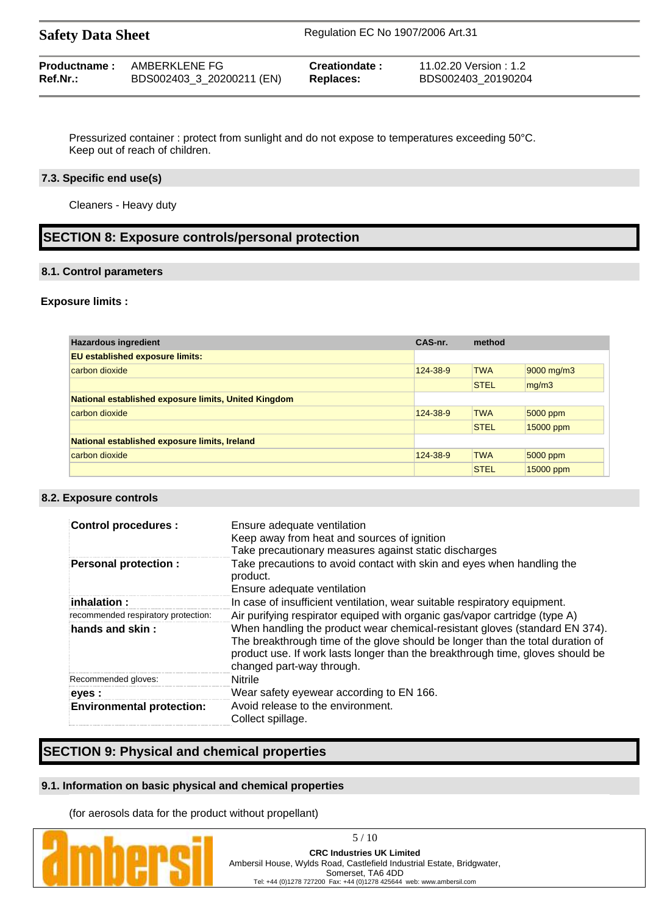| <b>Safety Data Sheet</b> |                           | Regulation EC No 1907/2006 Art.31 |                        |  |
|--------------------------|---------------------------|-----------------------------------|------------------------|--|
| Productname:             | AMBERKLENE FG             | Creationdate:                     | 11.02.20 Version : 1.2 |  |
| Ref.Nr.:                 | BDS002403_3_20200211 (EN) | Replaces:                         | BDS002403_20190204     |  |

Pressurized container : protect from sunlight and do not expose to temperatures exceeding 50°C. Keep out of reach of children.

### **7.3. Specific end use(s)**

Cleaners - Heavy duty

# **SECTION 8: Exposure controls/personal protection**

#### **8.1. Control parameters**

### **Exposure limits :**

| <b>Hazardous ingredient</b>                          | CAS-nr.  | method      |            |
|------------------------------------------------------|----------|-------------|------------|
| <b>EU established exposure limits:</b>               |          |             |            |
| carbon dioxide                                       | 124-38-9 | <b>TWA</b>  | 9000 mg/m3 |
|                                                      |          | <b>STEL</b> | mg/m3      |
| National established exposure limits, United Kingdom |          |             |            |
| carbon dioxide                                       | 124-38-9 | <b>TWA</b>  | 5000 ppm   |
|                                                      |          | <b>STEL</b> | 15000 ppm  |
| National established exposure limits, Ireland        |          |             |            |
| carbon dioxide                                       | 124-38-9 | <b>TWA</b>  | 5000 ppm   |
|                                                      |          | <b>STEL</b> | 15000 ppm  |

# **8.2. Exposure controls**

| <b>Control procedures:</b>          | Ensure adequate ventilation<br>Keep away from heat and sources of ignition<br>Take precautionary measures against static discharges                                                                                                                                          |
|-------------------------------------|------------------------------------------------------------------------------------------------------------------------------------------------------------------------------------------------------------------------------------------------------------------------------|
| <b>Personal protection:</b>         | Take precautions to avoid contact with skin and eyes when handling the<br>product.<br>Ensure adequate ventilation                                                                                                                                                            |
| $i$ nhalation :                     | In case of insufficient ventilation, wear suitable respiratory equipment.                                                                                                                                                                                                    |
|                                     |                                                                                                                                                                                                                                                                              |
| recommended respiratory protection: | Air purifying respirator equiped with organic gas/vapor cartridge (type A)                                                                                                                                                                                                   |
| hands and skin:                     | When handling the product wear chemical-resistant gloves (standard EN 374).<br>The breakthrough time of the glove should be longer than the total duration of<br>product use. If work lasts longer than the breakthrough time, gloves should be<br>changed part-way through. |
| Recommended gloves:                 | <b>Nitrile</b>                                                                                                                                                                                                                                                               |
| eyes :                              | Wear safety eyewear according to EN 166.                                                                                                                                                                                                                                     |
| <b>Environmental protection:</b>    | Avoid release to the environment.<br>Collect spillage.                                                                                                                                                                                                                       |

# **SECTION 9: Physical and chemical properties**

# **9.1. Information on basic physical and chemical properties**

(for aerosols data for the product without propellant)



Ambersil House, Wylds Road, Castlefield Industrial Estate, Bridgwater,

Somerset, TA6 4DD Tel: +44 (0)1278 727200 Fax: +44 (0)1278 425644 web: www.ambersil.com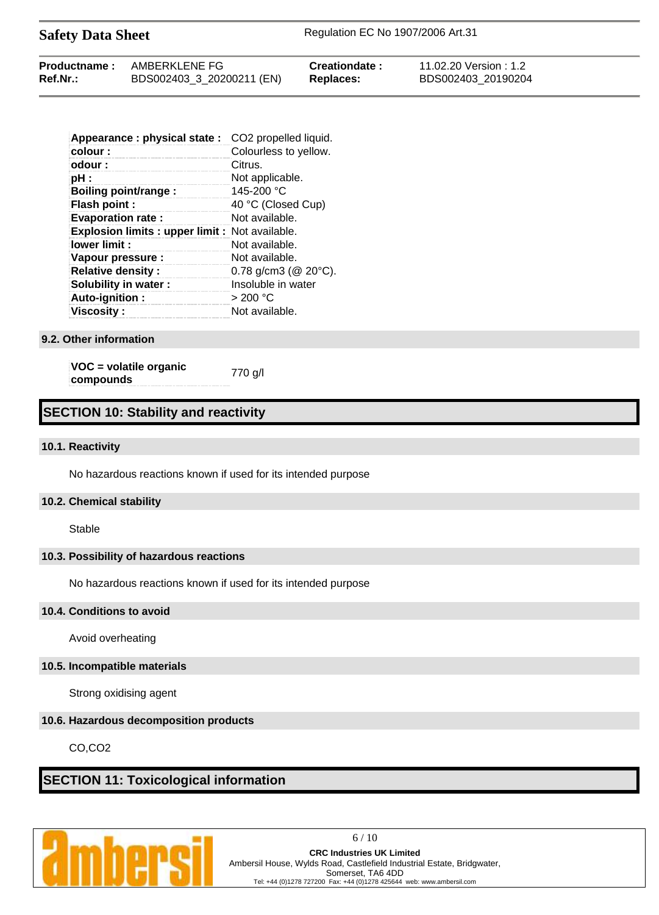| <b>Safety Data Sheet</b> |               |                | Regulation EC No 1907/2006 Art.31 |  |
|--------------------------|---------------|----------------|-----------------------------------|--|
| <b>Productname:</b>      | AMBERKLENE FG | Creationdate : | 11.02.20 Version : 1.2            |  |

**Ref.Nr.:** BDS002403\_3\_20200211 (EN) **Replaces:** BDS002403\_20190204

| Appearance : physical state :                        | CO <sub>2</sub> propelled liquid. |
|------------------------------------------------------|-----------------------------------|
| colour:                                              | Colourless to yellow.             |
| odour:                                               | Citrus.                           |
| pH :                                                 | Not applicable.                   |
| <b>Boiling point/range:</b>                          | 145-200 $°C$                      |
| Flash point :                                        | 40 °C (Closed Cup)                |
| <b>Evaporation rate:</b>                             | Not available.                    |
| <b>Explosion limits: upper limit: Not available.</b> |                                   |
| lower limit:                                         | Not available.                    |
| Vapour pressure :                                    | Not available.                    |
| <b>Relative density:</b>                             | 0.78 g/cm3 ( $@$ 20 $°C$ ).       |
| Solubility in water :                                | Insoluble in water                |
| Auto-ignition:                                       | $>$ 200 °C                        |
| <b>Viscosity :</b>                                   | Not available.                    |

#### **9.2. Other information**

**VOC = volatile organic compounds** 770 g/l

# **SECTION 10: Stability and reactivity**

#### **10.1. Reactivity**

No hazardous reactions known if used for its intended purpose

#### **10.2. Chemical stability**

Stable

# **10.3. Possibility of hazardous reactions**

No hazardous reactions known if used for its intended purpose

### **10.4. Conditions to avoid**

Avoid overheating

#### **10.5. Incompatible materials**

Strong oxidising agent

# **10.6. Hazardous decomposition products**

CO,CO2

# **SECTION 11: Toxicological information**



6 / 10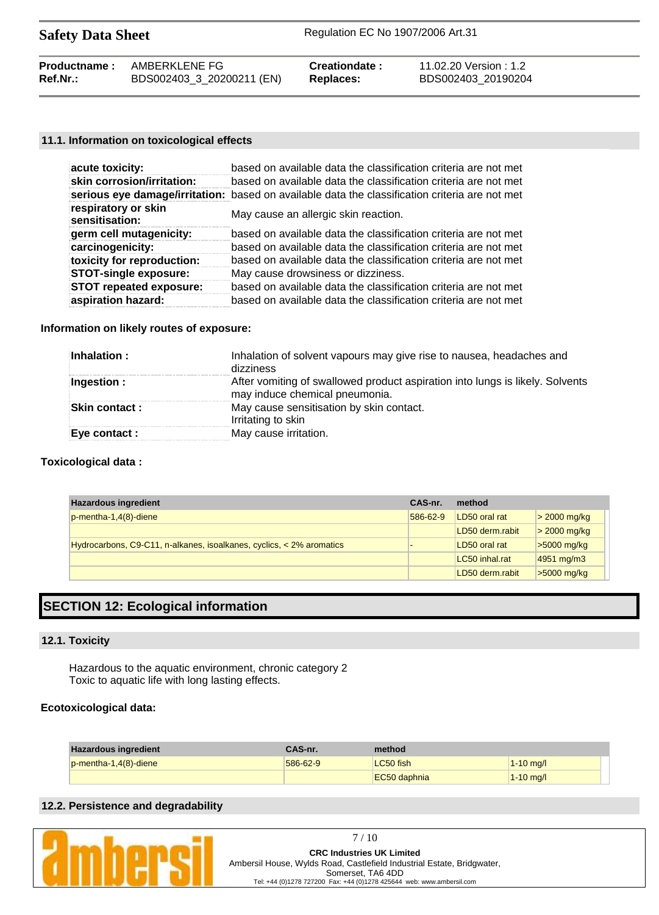| <b>Safety Data Sheet</b> |  |  |
|--------------------------|--|--|
|--------------------------|--|--|

| <b>Productname:</b> | AMBERKLENE FG             | Creationdate:    | 11.02.20 Version : 1.2 |
|---------------------|---------------------------|------------------|------------------------|
| Ref.Nr.:            | BDS002403_3_20200211 (EN) | <b>Replaces:</b> | BDS002403 20190204     |

# **11.1. Information on toxicological effects**

| acute toxicity:                       | based on available data the classification criteria are not met                                |
|---------------------------------------|------------------------------------------------------------------------------------------------|
| skin corrosion/irritation:            | based on available data the classification criteria are not met                                |
|                                       | serious eye damage/irritation: based on available data the classification criteria are not met |
| respiratory or skin<br>sensitisation: | May cause an allergic skin reaction.                                                           |
| germ cell mutagenicity:               | based on available data the classification criteria are not met                                |
| carcinogenicity:                      | based on available data the classification criteria are not met                                |
| toxicity for reproduction:            | based on available data the classification criteria are not met                                |
| <b>STOT-single exposure:</b>          | May cause drowsiness or dizziness.                                                             |
| <b>STOT repeated exposure:</b>        | based on available data the classification criteria are not met                                |
| aspiration hazard:                    | based on available data the classification criteria are not met                                |

# **Information on likely routes of exposure:**

| Inhalation:          | Inhalation of solvent vapours may give rise to nausea, headaches and<br>dizziness                               |
|----------------------|-----------------------------------------------------------------------------------------------------------------|
| Ingestion:           | After vomiting of swallowed product aspiration into lungs is likely. Solvents<br>may induce chemical pneumonia. |
| <b>Skin contact:</b> | May cause sensitisation by skin contact.<br>Irritating to skin                                                  |
| Eye contact :        | May cause irritation.                                                                                           |

# **Toxicological data :**

| <b>Hazardous ingredient</b>                                          | CAS-nr.  | method          |                |
|----------------------------------------------------------------------|----------|-----------------|----------------|
| $p$ -mentha-1,4 $(8)$ -diene                                         | 586-62-9 | LD50 oral rat   | $>$ 2000 mg/kg |
|                                                                      |          | LD50 derm.rabit | $>$ 2000 mg/kg |
| Hydrocarbons, C9-C11, n-alkanes, isoalkanes, cyclics, < 2% aromatics |          | LD50 oral rat   | $>5000$ mg/kg  |
|                                                                      |          | LC50 inhal.rat  | 4951 mg/m3     |
|                                                                      |          | LD50 derm.rabit | $>5000$ mg/kg  |

# **SECTION 12: Ecological information**

### **12.1. Toxicity**

Hazardous to the aquatic environment, chronic category 2 Toxic to aquatic life with long lasting effects.

# **Ecotoxicological data:**

| <b>Hazardous ingredient</b>  | CAS-nr.  | method       |               |
|------------------------------|----------|--------------|---------------|
| $p$ -mentha-1,4 $(8)$ -diene | 586-62-9 | LC50 fish    | $1-10$ mg/l   |
|                              |          | EC50 daphnia | $1 - 10$ mg/l |

# **12.2. Persistence and degradability**

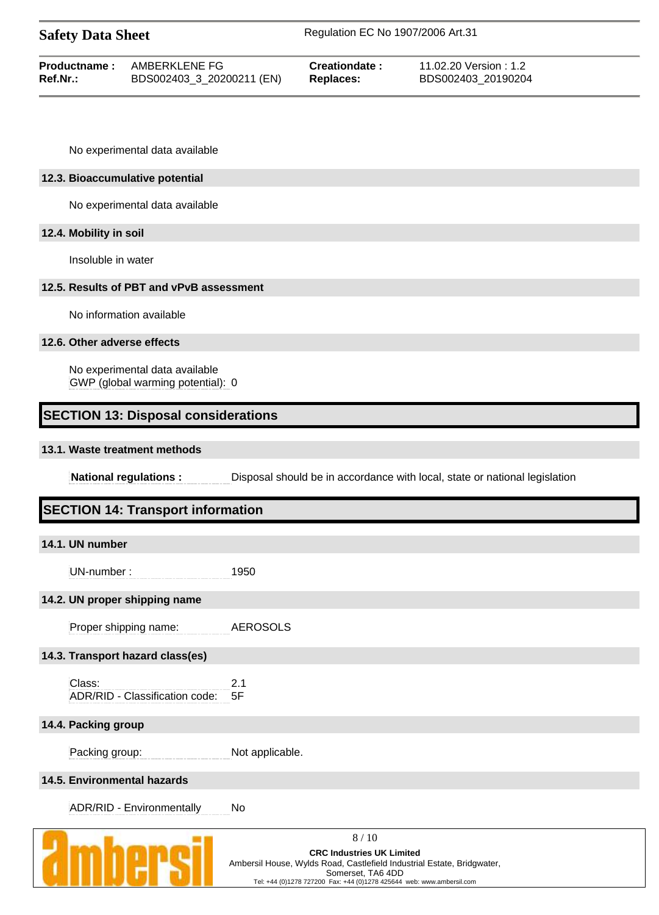| <b>Safety Data Sheet</b>         |                                                                     |                  |                      | Regulation EC No 1907/2006 Art.31                                          |
|----------------------------------|---------------------------------------------------------------------|------------------|----------------------|----------------------------------------------------------------------------|
| <b>Productname:</b><br>Ref.Nr.:  | AMBERKLENE FG<br>BDS002403_3_20200211 (EN)                          | <b>Replaces:</b> | <b>Creationdate:</b> | 11.02.20 Version: 1.2<br>BDS002403_20190204                                |
|                                  | No experimental data available                                      |                  |                      |                                                                            |
| 12.3. Bioaccumulative potential  |                                                                     |                  |                      |                                                                            |
|                                  | No experimental data available                                      |                  |                      |                                                                            |
| 12.4. Mobility in soil           |                                                                     |                  |                      |                                                                            |
| Insoluble in water               |                                                                     |                  |                      |                                                                            |
|                                  | 12.5. Results of PBT and vPvB assessment                            |                  |                      |                                                                            |
|                                  | No information available                                            |                  |                      |                                                                            |
| 12.6. Other adverse effects      |                                                                     |                  |                      |                                                                            |
|                                  | No experimental data available<br>GWP (global warming potential): 0 |                  |                      |                                                                            |
|                                  |                                                                     |                  |                      |                                                                            |
|                                  | <b>SECTION 13: Disposal considerations</b>                          |                  |                      |                                                                            |
| 13.1. Waste treatment methods    |                                                                     |                  |                      |                                                                            |
|                                  | <b>National regulations:</b>                                        |                  |                      | Disposal should be in accordance with local, state or national legislation |
|                                  | <b>SECTION 14: Transport information</b>                            |                  |                      |                                                                            |
| 14.1. UN number                  |                                                                     |                  |                      |                                                                            |
| UN-number:                       | 1950                                                                |                  |                      |                                                                            |
| 14.2. UN proper shipping name    |                                                                     |                  |                      |                                                                            |
| Proper shipping name:            |                                                                     | <b>AEROSOLS</b>  |                      |                                                                            |
| 14.3. Transport hazard class(es) |                                                                     |                  |                      |                                                                            |
| Class:                           | 2.1<br>ADR/RID - Classification code:<br>5F                         |                  |                      |                                                                            |
| 14.4. Packing group              |                                                                     |                  |                      |                                                                            |
| Packing group:                   |                                                                     | Not applicable.  |                      |                                                                            |
| 14.5. Environmental hazards      |                                                                     |                  |                      |                                                                            |



8 / 10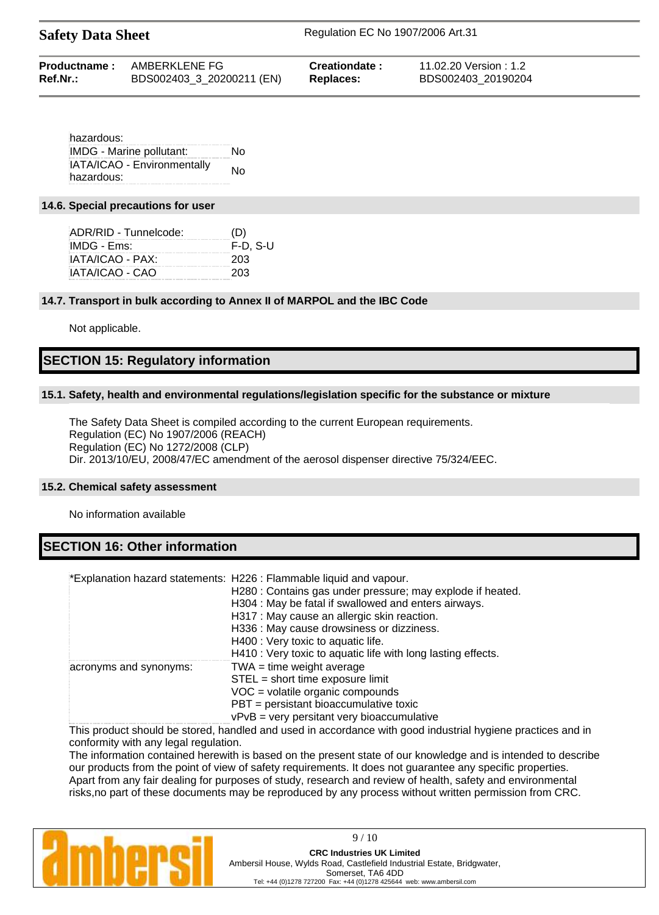|          | <b>Productname:</b> AMBERKLENE FG | Creationdate:    | 11.02.20 Version : 1.2 |
|----------|-----------------------------------|------------------|------------------------|
| Ref.Nr.: | BDS002403_3_20200211 (EN)         | <b>Replaces:</b> | BDS002403 20190204     |

hazardous: IMDG - Marine pollutant: No IATA/ICAO - Environmentally hazardous:<br>hazardous:

### **14.6. Special precautions for user**

| ADR/RID - Tunnelcode: | (D)      |
|-----------------------|----------|
| IMDG - Ems:           | F-D. S-U |
| IATA/ICAO - PAX:      | 203      |
| IATA/ICAO - CAO       | 203      |

# **14.7. Transport in bulk according to Annex II of MARPOL and the IBC Code**

Not applicable.

# **SECTION 15: Regulatory information**

# **15.1. Safety, health and environmental regulations/legislation specific for the substance or mixture**

The Safety Data Sheet is compiled according to the current European requirements. Regulation (EC) No 1907/2006 (REACH) Regulation (EC) No 1272/2008 (CLP) Dir. 2013/10/EU, 2008/47/EC amendment of the aerosol dispenser directive 75/324/EEC.

# **15.2. Chemical safety assessment**

No information available

# **SECTION 16: Other information**

|                        | *Explanation hazard statements: H226 : Flammable liquid and vapour.<br>H280 : Contains gas under pressure; may explode if heated.<br>H304 : May be fatal if swallowed and enters airways.<br>H317 : May cause an allergic skin reaction.<br>H336 : May cause drowsiness or dizziness.<br>H400 : Very toxic to aquatic life.<br>H410 : Very toxic to aquatic life with long lasting effects. |
|------------------------|---------------------------------------------------------------------------------------------------------------------------------------------------------------------------------------------------------------------------------------------------------------------------------------------------------------------------------------------------------------------------------------------|
| acronyms and synonyms: | $TWA = time weight average$<br>STEL = short time exposure limit<br>$VOC = volatile organic compounds$<br>PBT = persistant bioaccumulative toxic<br>$vPvB$ = very persitant very bioaccumulative                                                                                                                                                                                             |

This product should be stored, handled and used in accordance with good industrial hygiene practices and in conformity with any legal regulation.

The information contained herewith is based on the present state of our knowledge and is intended to describe our products from the point of view of safety requirements. It does not guarantee any specific properties. Apart from any fair dealing for purposes of study, research and review of health, safety and environmental risks,no part of these documents may be reproduced by any process without written permission from CRC.



9 / 10